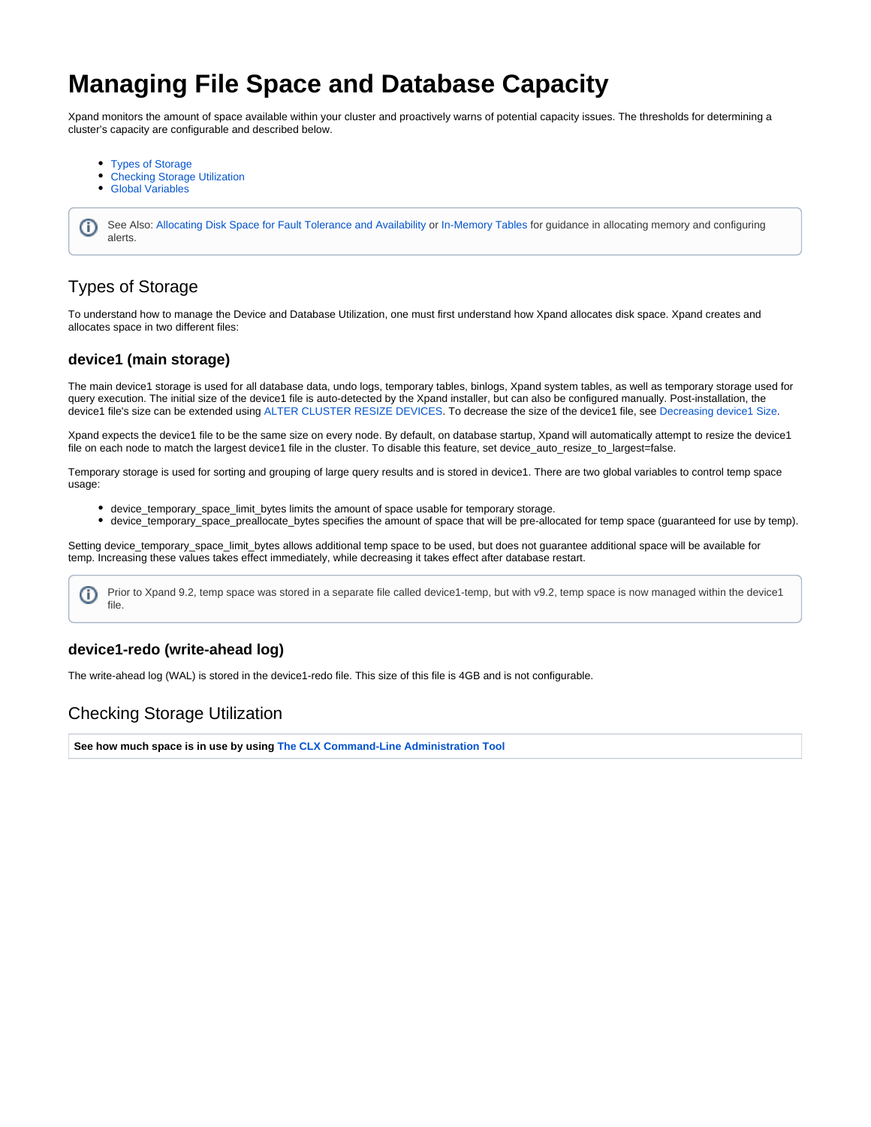# **Managing File Space and Database Capacity**

Xpand monitors the amount of space available within your cluster and proactively warns of potential capacity issues. The thresholds for determining a cluster's capacity are configurable and described below.

- [Types of Storage](#page-0-0)
- [Checking Storage Utilization](#page-0-1)
- [Global Variables](#page-1-0)

See Also: [Allocating Disk Space for Fault Tolerance and Availability](https://docs.clustrix.com/display/CLXDOC/Allocating+Disk+Space+for+Fault+Tolerance+and+Availability) or [In-Memory Tables](https://docs.clustrix.com/display/CLXDOC/In-Memory+Tables) for guidance in allocating memory and configuring O) alerts.

# <span id="page-0-0"></span>Types of Storage

To understand how to manage the Device and Database Utilization, one must first understand how Xpand allocates disk space. Xpand creates and allocates space in two different files:

### **device1 (main storage)**

The main device1 storage is used for all database data, undo logs, temporary tables, binlogs, Xpand system tables, as well as temporary storage used for query execution. The initial size of the device1 file is auto-detected by the Xpand installer, but can also be configured manually. Post-installation, the device1 file's size can be extended using [ALTER CLUSTER RESIZE DEVICES](https://docs.clustrix.com/display/CLXDOC/ALTER+CLUSTER+Syntax#ALTERCLUSTERSyntax-Resize_Devices). To decrease the size of the device1 file, see [Decreasing device1 Size](https://docs.clustrix.com/display/CLXDOC/Decreasing+device1+Size).

Xpand expects the device1 file to be the same size on every node. By default, on database startup, Xpand will automatically attempt to resize the device1 file on each node to match the largest device1 file in the cluster. To disable this feature, set device\_auto\_resize\_to\_largest=false.

Temporary storage is used for sorting and grouping of large query results and is stored in device1. There are two global variables to control temp space usage:

- device\_temporary\_space\_limit\_bytes limits the amount of space usable for temporary storage.
- device\_temporary\_space\_preallocate\_bytes specifies the amount of space that will be pre-allocated for temp space (guaranteed for use by temp).

Setting device\_temporary\_space\_limit\_bytes allows additional temp space to be used, but does not guarantee additional space will be available for temp. Increasing these values takes effect immediately, while decreasing it takes effect after database restart.

Prior to Xpand 9.2, temp space was stored in a separate file called device1-temp, but with v9.2, temp space is now managed within the device1 O) file.

### **device1-redo (write-ahead log)**

The write-ahead log (WAL) is stored in the device1-redo file. This size of this file is 4GB and is not configurable.

# <span id="page-0-1"></span>Checking Storage Utilization

**See how much space is in use by using [The CLX Command-Line Administration Tool](https://docs.clustrix.com/display/CLXDOC/The+CLX+Command-Line+Administration+Tool)**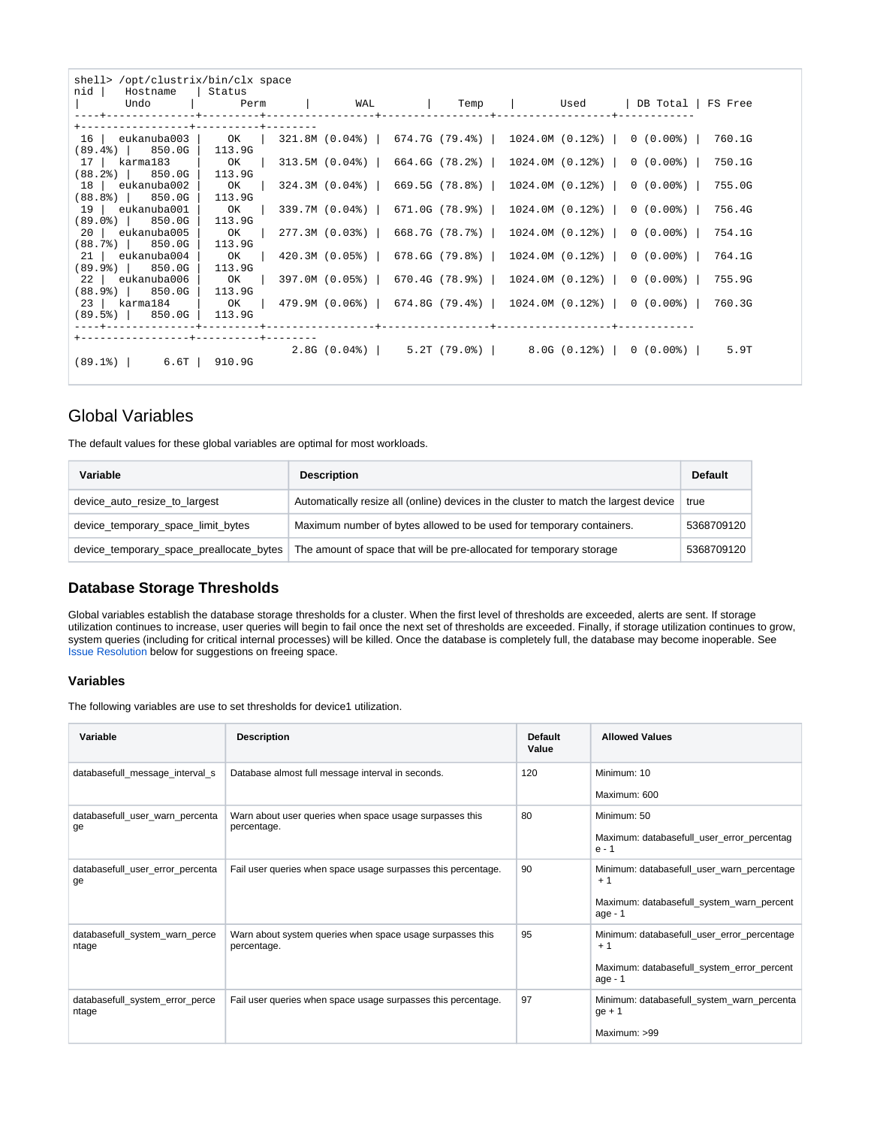| shell> /opt/clustrix/bin/clx space<br>nid   Hostname   Status                         |                |  |  |  |  |  |  |                                                                    |        |
|---------------------------------------------------------------------------------------|----------------|--|--|--|--|--|--|--------------------------------------------------------------------|--------|
| Undo                                                                                  |                |  |  |  |  |  |  | Perm   WAL   Temp   Used  DB-Total  FS-Free                        |        |
| +------------------+----------+------                                                 |                |  |  |  |  |  |  |                                                                    |        |
|                                                                                       |                |  |  |  |  |  |  | 321.8M (0.04%)   674.7G (79.4%)   1024.0M (0.12%)   0 (0.00%)      | 760.1G |
| $(89.4)$   850.0G   113.9G                                                            |                |  |  |  |  |  |  |                                                                    |        |
| 17   karma183   OK   313.5M (0.04%)   664.6G (78.2%)   1024.0M (0.12%)   0 (0.00%)    |                |  |  |  |  |  |  |                                                                    | 750.1G |
| $(88.2)$   850.0G   113.9G                                                            |                |  |  |  |  |  |  |                                                                    |        |
| 18 eukanuba002                                                                        |                |  |  |  |  |  |  | OK   324.3M (0.04%)   669.5G (78.8%)   1024.0M (0.12%)   0 (0.00%) | 755.0G |
| $(88.88)$ 850.0G<br>$19$   eukanuba001                                                | 113.9G<br>$OK$ |  |  |  |  |  |  | 339.7M $(0.04)$   671.0G $(78.9)$   1024.0M $(0.12)$   0 $(0.00)$  | 756.4G |
| $(89.0*)$ 850.0G                                                                      | 113.9G         |  |  |  |  |  |  |                                                                    |        |
| 20 eukanuba005                                                                        | OK             |  |  |  |  |  |  | $277.3M$ (0.03%)   668.7G (78.7%)   1024.0M (0.12%)   0 (0.00%)    | 754.1G |
| $(88.7%)$ 850.0G                                                                      | 113.9G         |  |  |  |  |  |  |                                                                    |        |
| 21   eukanuba004   OK   420.3M (0.05%)   678.6G (79.8%)   1024.0M (0.12%)   0 (0.00%) |                |  |  |  |  |  |  |                                                                    | 764.1G |
| $(89.9*)$ 850.0G                                                                      | 113.9G         |  |  |  |  |  |  |                                                                    |        |
| 22   eukanuba006   OK   397.0M (0.05%)   670.4G (78.9%)   1024.0M (0.12%)   0 (0.00%) |                |  |  |  |  |  |  |                                                                    | 755.9G |
| $(88.9*)$ 850.0G                                                                      | 113.9G         |  |  |  |  |  |  |                                                                    |        |
| 23   karma184   OK                                                                    |                |  |  |  |  |  |  | 479.9M (0.06%)   674.8G (79.4%)   1024.0M (0.12%)   0 (0.00%)      | 760.3G |
| $(89.5%)$ 850.0G                                                                      | 113.9G         |  |  |  |  |  |  |                                                                    |        |
|                                                                                       |                |  |  |  |  |  |  |                                                                    |        |
|                                                                                       |                |  |  |  |  |  |  |                                                                    |        |
|                                                                                       |                |  |  |  |  |  |  | $2.8G (0.04%)$   5.2T (79.0%)   8.0G (0.12%)   0 (0.00%)           | 5.9T   |
| $(89.1%)$ 6.6T 910.9G                                                                 |                |  |  |  |  |  |  |                                                                    |        |

# <span id="page-1-0"></span>Global Variables

The default values for these global variables are optimal for most workloads.

| Variable                                 | <b>Description</b>                                                                   | <b>Default</b> |
|------------------------------------------|--------------------------------------------------------------------------------------|----------------|
| device auto resize to largest            | Automatically resize all (online) devices in the cluster to match the largest device | true           |
| device_temporary_space_limit_bytes       | Maximum number of bytes allowed to be used for temporary containers.                 | 5368709120     |
| device_temporary_space_preallocate_bytes | The amount of space that will be pre-allocated for temporary storage                 | 5368709120     |

### **Database Storage Thresholds**

Global variables establish the database storage thresholds for a cluster. When the first level of thresholds are exceeded, alerts are sent. If storage utilization continues to increase, user queries will begin to fail once the next set of thresholds are exceeded. Finally, if storage utilization continues to grow, syst[e](#page-2-0)m queries (including for critical internal processes) will be killed. Once the database is completely full, the database may become inoperable. See **[Issue Resolution](#page-2-0) below for suggestions on freeing space.** 

#### **Variables**

The following variables are use to set thresholds for device1 utilization.

| Variable                                 | <b>Description</b>                                                       | Default<br>Value | <b>Allowed Values</b>                                                                                        |
|------------------------------------------|--------------------------------------------------------------------------|------------------|--------------------------------------------------------------------------------------------------------------|
| databasefull_message_interval_s          | Database almost full message interval in seconds.                        | 120              | Minimum: 10<br>Maximum: 600                                                                                  |
| databasefull_user_warn_percenta<br>qe    | Warn about user queries when space usage surpasses this<br>percentage.   | 80               | Minimum: 50<br>Maximum: databasefull_user_error_percentag<br>$e - 1$                                         |
| databasefull_user_error_percenta<br>ge   | Fail user queries when space usage surpasses this percentage.            | 90               | Minimum: databasefull_user_warn_percentage<br>$+1$<br>Maximum: databasefull_system_warn_percent<br>age - 1   |
| databasefull_system_warn_perce<br>ntage  | Warn about system queries when space usage surpasses this<br>percentage. | 95               | Minimum: databasefull_user_error_percentage<br>$+1$<br>Maximum: databasefull_system_error_percent<br>age - 1 |
| databasefull_system_error_perce<br>ntage | Fail user queries when space usage surpasses this percentage.            | 97               | Minimum: databasefull_system_warn_percenta<br>$ge + 1$<br>Maximum: >99                                       |